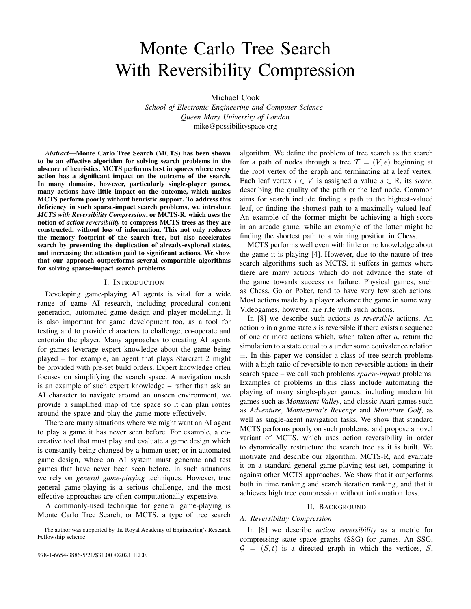# Monte Carlo Tree Search With Reversibility Compression

Michael Cook

*School of Electronic Engineering and Computer Science Queen Mary University of London* mike@possibilityspace.org

*Abstract*—Monte Carlo Tree Search (MCTS) has been shown to be an effective algorithm for solving search problems in the absence of heuristics. MCTS performs best in spaces where every action has a significant impact on the outcome of the search. In many domains, however, particularly single-player games, many actions have little impact on the outcome, which makes MCTS perform poorly without heuristic support. To address this deficiency in such sparse-impact search problems, we introduce *MCTS with Reversibility Compression*, or MCTS-R, which uses the notion of *action reversibility* to compress MCTS trees as they are constructed, without loss of information. This not only reduces the memory footprint of the search tree, but also accelerates search by preventing the duplication of already-explored states, and increasing the attention paid to significant actions. We show that our approach outperforms several comparable algorithms for solving sparse-impact search problems.

## I. INTRODUCTION

Developing game-playing AI agents is vital for a wide range of game AI research, including procedural content generation, automated game design and player modelling. It is also important for game development too, as a tool for testing and to provide characters to challenge, co-operate and entertain the player. Many approaches to creating AI agents for games leverage expert knowledge about the game being played – for example, an agent that plays Starcraft 2 might be provided with pre-set build orders. Expert knowledge often focuses on simplifying the search space. A navigation mesh is an example of such expert knowledge – rather than ask an AI character to navigate around an unseen environment, we provide a simplified map of the space so it can plan routes around the space and play the game more effectively.

There are many situations where we might want an AI agent to play a game it has never seen before. For example, a cocreative tool that must play and evaluate a game design which is constantly being changed by a human user; or in automated game design, where an AI system must generate and test games that have never been seen before. In such situations we rely on *general game-playing* techniques. However, true general game-playing is a serious challenge, and the most effective approaches are often computationally expensive.

A commonly-used technique for general game-playing is Monte Carlo Tree Search, or MCTS, a type of tree search algorithm. We define the problem of tree search as the search for a path of nodes through a tree  $\mathcal{T} = (V, e)$  beginning at the root vertex of the graph and terminating at a leaf vertex. Each leaf vertex  $l \in V$  is assigned a value  $s \in \mathbb{R}$ , its *score*, describing the quality of the path or the leaf node. Common aims for search include finding a path to the highest-valued leaf, or finding the shortest path to a maximally-valued leaf. An example of the former might be achieving a high-score in an arcade game, while an example of the latter might be finding the shortest path to a winning position in Chess.

MCTS performs well even with little or no knowledge about the game it is playing [4]. However, due to the nature of tree search algorithms such as MCTS, it suffers in games where there are many actions which do not advance the state of the game towards success or failure. Physical games, such as Chess, Go or Poker, tend to have very few such actions. Most actions made by a player advance the game in some way. Videogames, however, are rife with such actions.

In [8] we describe such actions as *reversible* actions. An action  $\alpha$  in a game state  $s$  is reversible if there exists a sequence of one or more actions which, when taken after  $a$ , return the simulation to a state equal to  $s$  under some equivalence relation ≡. In this paper we consider a class of tree search problems with a high ratio of reversible to non-reversible actions in their search space – we call such problems *sparse-impact* problems. Examples of problems in this class include automating the playing of many single-player games, including modern hit games such as *Monument Valley*, and classic Atari games such as *Adventure*, *Montezuma's Revenge* and *Miniature Golf*, as well as single-agent navigation tasks. We show that standard MCTS performs poorly on such problems, and propose a novel variant of MCTS, which uses action reversibility in order to dynamically restructure the search tree as it is built. We motivate and describe our algorithm, MCTS-R, and evaluate it on a standard general game-playing test set, comparing it against other MCTS approaches. We show that it outperforms both in time ranking and search iteration ranking, and that it achieves high tree compression without information loss.

#### II. BACKGROUND

# *A. Reversibility Compression*

In [8] we describe *action reversibility* as a metric for compressing state space graphs (SSG) for games. An SSG,  $G = (S, t)$  is a directed graph in which the vertices, S,

The author was supported by the Royal Academy of Engineering's Research Fellowship scheme.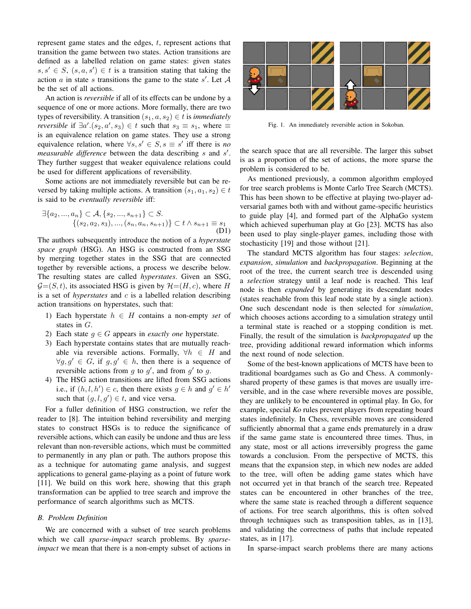represent game states and the edges, t, represent actions that transition the game between two states. Action transitions are defined as a labelled relation on game states: given states  $s, s' \in S$ ,  $(s, a, s') \in t$  is a transition stating that taking the action  $a$  in state  $s$  transitions the game to the state  $s'$ . Let  $A$ be the set of all actions.

An action is *reversible* if all of its effects can be undone by a sequence of one or more actions. More formally, there are two types of reversibility. A transition  $(s_1, a, s_2) \in t$  is *immediately reversible* if  $\exists a'$ . $(s_2, a', s_3) \in t$  such that  $s_3 \equiv s_1$ , where  $\equiv$ is an equivalence relation on game states. They use a strong equivalence relation, where  $\forall s, s' \in S, s \equiv s'$  iff there is *no* measurable difference between the data describing s and s'. They further suggest that weaker equivalence relations could be used for different applications of reversibility.

Some actions are not immediately reversible but can be reversed by taking multiple actions. A transition  $(s_1, a_1, s_2) \in t$ is said to be *eventually reversible* iff:

$$
\exists \{a_2, ..., a_n\} \subset \mathcal{A}, \{s_2, ..., s_{n+1}\} \subset S.
$$
  

$$
\{(s_2, a_2, s_3), ..., (s_n, a_n, s_{n+1})\} \subset t \wedge s_{n+1} \equiv s_1
$$
  
(D1)

The authors subsequently introduce the notion of a *hyperstate space graph* (HSG). An HSG is constructed from an SSG by merging together states in the SSG that are connected together by reversible actions, a process we describe below. The resulting states are called *hyperstates*. Given an SSG,  $G=(S, t)$ , its associated HSG is given by  $\mathcal{H}=(H, c)$ , where H is a set of *hyperstates* and c is a labelled relation describing action transitions on hyperstates, such that:

- 1) Each hyperstate  $h \in H$  contains a non-empty *set* of states in G.
- 2) Each state  $g \in G$  appears in *exactly one* hyperstate.
- 3) Each hyperstate contains states that are mutually reachable via reversible actions. Formally,  $\forall h \in H$  and  $\forall g, g' \in G$ , if  $g, g' \in h$ , then there is a sequence of reversible actions from  $g$  to  $g'$ , and from  $g'$  to  $g$ .
- 4) The HSG action transitions are lifted from SSG actions i.e., if  $(h, l, h') \in c$ , then there exists  $g \in h$  and  $g' \in h'$ such that  $(g, l, g') \in t$ , and vice versa.

For a fuller definition of HSG construction, we refer the reader to [8]. The intuition behind reversibility and merging states to construct HSGs is to reduce the significance of reversible actions, which can easily be undone and thus are less relevant than non-reversible actions, which must be committed to permanently in any plan or path. The authors propose this as a technique for automating game analysis, and suggest applications to general game-playing as a point of future work [11]. We build on this work here, showing that this graph transformation can be applied to tree search and improve the performance of search algorithms such as MCTS.

## *B. Problem Definition*

We are concerned with a subset of tree search problems which we call *sparse-impact* search problems. By *sparseimpact* we mean that there is a non-empty subset of actions in



Fig. 1. An immediately reversible action in Sokoban.

the search space that are all reversible. The larger this subset is as a proportion of the set of actions, the more sparse the problem is considered to be.

As mentioned previously, a common algorithm employed for tree search problems is Monte Carlo Tree Search (MCTS). This has been shown to be effective at playing two-player adversarial games both with and without game-specific heuristics to guide play [4], and formed part of the AlphaGo system which achieved superhuman play at Go [23]. MCTS has also been used to play single-player games, including those with stochasticity [19] and those without [21].

The standard MCTS algorithm has four stages: *selection*, *expansion*, *simulation* and *backpropagation*. Beginning at the root of the tree, the current search tree is descended using a *selection* strategy until a leaf node is reached. This leaf node is then *expanded* by generating its descendant nodes (states reachable from this leaf node state by a single action). One such descendant node is then selected for *simulation*, which chooses actions according to a simulation strategy until a terminal state is reached or a stopping condition is met. Finally, the result of the simulation is *backpropagated* up the tree, providing additional reward information which informs the next round of node selection.

Some of the best-known applications of MCTS have been to traditional boardgames such as Go and Chess. A commonlyshared property of these games is that moves are usually irreversible, and in the case where reversible moves are possible, they are unlikely to be encountered in optimal play. In Go, for example, special *Ko* rules prevent players from repeating board states indefinitely. In Chess, reversible moves are considered sufficiently abnormal that a game ends prematurely in a draw if the same game state is encountered three times. Thus, in any state, most or all actions irreversibly progress the game towards a conclusion. From the perspective of MCTS, this means that the expansion step, in which new nodes are added to the tree, will often be adding game states which have not occurred yet in that branch of the search tree. Repeated states can be encountered in other branches of the tree, where the same state is reached through a different sequence of actions. For tree search algorithms, this is often solved through techniques such as transposition tables, as in [13], and validating the correctness of paths that include repeated states, as in [17].

In sparse-impact search problems there are many actions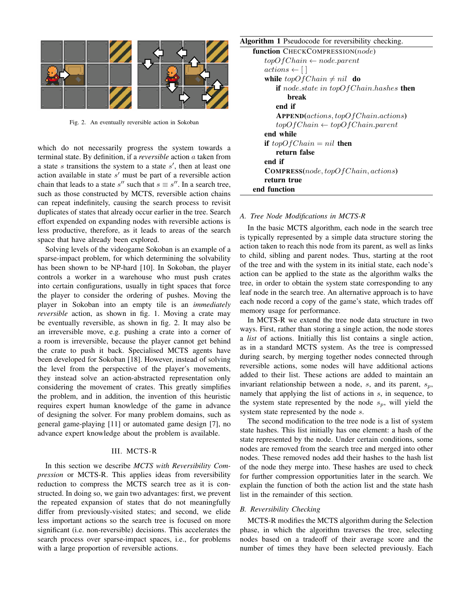

Fig. 2. An eventually reversible action in Sokoban

which do not necessarily progress the system towards a terminal state. By definition, if a *reversible* action a taken from a state  $s$  transitions the system to a state  $s'$ , then at least one action available in state  $s'$  must be part of a reversible action chain that leads to a state s'' such that  $s \equiv s''$ . In a search tree, such as those constructed by MCTS, reversible action chains can repeat indefinitely, causing the search process to revisit duplicates of states that already occur earlier in the tree. Search effort expended on expanding nodes with reversible actions is less productive, therefore, as it leads to areas of the search space that have already been explored.

Solving levels of the videogame Sokoban is an example of a sparse-impact problem, for which determining the solvability has been shown to be NP-hard [10]. In Sokoban, the player controls a worker in a warehouse who must push crates into certain configurations, usually in tight spaces that force the player to consider the ordering of pushes. Moving the player in Sokoban into an empty tile is an *immediately reversible* action, as shown in fig. 1. Moving a crate may be eventually reversible, as shown in fig. 2. It may also be an irreversible move, e.g. pushing a crate into a corner of a room is irreversible, because the player cannot get behind the crate to push it back. Specialised MCTS agents have been developed for Sokoban [18]. However, instead of solving the level from the perspective of the player's movements, they instead solve an action-abstracted representation only considering the movement of crates. This greatly simplifies the problem, and in addition, the invention of this heuristic requires expert human knowledge of the game in advance of designing the solver. For many problem domains, such as general game-playing [11] or automated game design [7], no advance expert knowledge about the problem is available.

## III. MCTS-R

In this section we describe *MCTS with Reversibility Compression* or MCTS-R. This applies ideas from reversibility reduction to compress the MCTS search tree as it is constructed. In doing so, we gain two advantages: first, we prevent the repeated expansion of states that do not meaningfully differ from previously-visited states; and second, we elide less important actions so the search tree is focused on more significant (i.e. non-reversible) decisions. This accelerates the search process over sparse-impact spaces, i.e., for problems with a large proportion of reversible actions.

Algorithm 1 Pseudocode for reversibility checking.

| function CHECKCOMPRESSION(node)                 |  |  |  |
|-------------------------------------------------|--|--|--|
| $topOfChain \leftarrow node.parent$             |  |  |  |
| $actions \leftarrow [$                          |  |  |  |
| while $topOfChain \neq nil$ do                  |  |  |  |
| if node.state in topOfChain.hashes then         |  |  |  |
| break                                           |  |  |  |
| end if                                          |  |  |  |
| APPEND(actions, topOfChain. actions)            |  |  |  |
| $topOfChain \leftarrow topOfChain.parent$       |  |  |  |
| end while                                       |  |  |  |
| if $topOfChain = nil$ then                      |  |  |  |
| return false                                    |  |  |  |
| end if                                          |  |  |  |
| <b>COMPRESS</b> (node, $topOfChain, actions)$ ) |  |  |  |
| return true                                     |  |  |  |
| end function                                    |  |  |  |

## *A. Tree Node Modifications in MCTS-R*

In the basic MCTS algorithm, each node in the search tree is typically represented by a simple data structure storing the action taken to reach this node from its parent, as well as links to child, sibling and parent nodes. Thus, starting at the root of the tree and with the system in its initial state, each node's action can be applied to the state as the algorithm walks the tree, in order to obtain the system state corresponding to any leaf node in the search tree. An alternative approach is to have each node record a copy of the game's state, which trades off memory usage for performance.

In MCTS-R we extend the tree node data structure in two ways. First, rather than storing a single action, the node stores a *list* of actions. Initially this list contains a single action, as in a standard MCTS system. As the tree is compressed during search, by merging together nodes connected through reversible actions, some nodes will have additional actions added to their list. These actions are added to maintain an invariant relationship between a node,  $s$ , and its parent,  $s_p$ , namely that applying the list of actions in s, in sequence, to the system state represented by the node  $s_n$ , will yield the system state represented by the node s.

The second modification to the tree node is a list of system state hashes. This list initially has one element: a hash of the state represented by the node. Under certain conditions, some nodes are removed from the search tree and merged into other nodes. These removed nodes add their hashes to the hash list of the node they merge into. These hashes are used to check for further compression opportunities later in the search. We explain the function of both the action list and the state hash list in the remainder of this section.

#### *B. Reversibility Checking*

MCTS-R modifies the MCTS algorithm during the Selection phase, in which the algorithm traverses the tree, selecting nodes based on a tradeoff of their average score and the number of times they have been selected previously. Each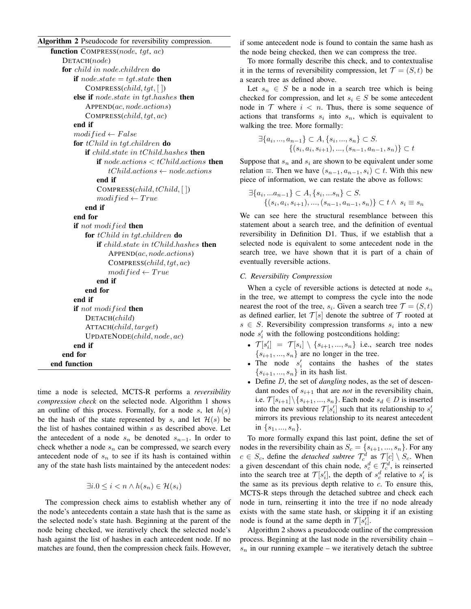## Algorithm 2 Pseudocode for reversibility compression.

| function COMPRESS(node, tgt, ac)                        |  |  |  |
|---------------------------------------------------------|--|--|--|
| DETACH(node)                                            |  |  |  |
| for child in node.children do                           |  |  |  |
| if node.state = tgt.state then                          |  |  |  |
| COMPRESS $\left( child, tgt, \lceil \rceil \right)$     |  |  |  |
| else if node.state in tgt.hashes then                   |  |  |  |
| APPEND(ac, node. actions)                               |  |  |  |
| COMPRESS (child, tgt, ac)                               |  |  |  |
| end if                                                  |  |  |  |
| $modified \leftarrow False$                             |  |  |  |
| for $tChild$ in tgt.children do                         |  |  |  |
| if child.state in $tChild.$ has hes then                |  |  |  |
| <b>if</b> node.actions $\lt$ tChild.actions <b>then</b> |  |  |  |
| $tChild. actions \leftarrow node. actions$              |  |  |  |
| end if                                                  |  |  |  |
| $COMPESS(child, tChild, \lceil )$                       |  |  |  |
| $modified \leftarrow True$                              |  |  |  |
| end if                                                  |  |  |  |
| end for                                                 |  |  |  |
| if not modified then                                    |  |  |  |
| for $tChild$ in tgt.children do                         |  |  |  |
| if child.state in $tChild.$ has hes then                |  |  |  |
| APPEND(ac, node. actions)                               |  |  |  |
| COMPRESS (child, tgt, ac)                               |  |  |  |
| $modified \leftarrow True$                              |  |  |  |
| end if                                                  |  |  |  |
| end for                                                 |  |  |  |
| end if                                                  |  |  |  |
| if not modified then                                    |  |  |  |
| DETACH(child)                                           |  |  |  |
| ATTACH(child, target)                                   |  |  |  |
| $UPDATENode$ <sub>child</sub> , $node$ , $ac)$          |  |  |  |
| end if                                                  |  |  |  |
| end for                                                 |  |  |  |
| end function                                            |  |  |  |

time a node is selected, MCTS-R performs a *reversibility compression check* on the selected node. Algorithm 1 shows an outline of this process. Formally, for a node  $s$ , let  $h(s)$ be the hash of the state represented by s, and let  $\mathcal{H}(s)$  be the list of hashes contained within  $s$  as described above. Let the antecedent of a node  $s_n$  be denoted  $s_{n-1}$ . In order to check whether a node  $s_n$  can be compressed, we search every antecedent node of  $s_n$  to see if its hash is contained within any of the state hash lists maintained by the antecedent nodes:

$$
\exists i. 0 \le i < n \land h(s_n) \in \mathcal{H}(s_i)
$$

The compression check aims to establish whether any of the node's antecedents contain a state hash that is the same as the selected node's state hash. Beginning at the parent of the node being checked, we iteratively check the selected node's hash against the list of hashes in each antecedent node. If no matches are found, then the compression check fails. However, if some antecedent node is found to contain the same hash as the node being checked, then we can compress the tree.

To more formally describe this check, and to contextualise it in the terms of reversibility compression, let  $\mathcal{T} = (S, t)$  be a search tree as defined above.

Let  $s_n \in S$  be a node in a search tree which is being checked for compression, and let  $s_i \in S$  be some antecedent node in  $T$  where  $i \leq n$ . Thus, there is some sequence of actions that transforms  $s_i$  into  $s_n$ , which is equivalent to walking the tree. More formally:

$$
\exists \{a_i, ..., a_{n-1}\} \subset A, \{s_i, ..., s_n\} \subset S.
$$

$$
\{(s_i, a_i, s_{i+1}), ..., (s_{n-1}, a_{n-1}, s_n)\} \subset t
$$

Suppose that  $s_n$  and  $s_i$  are shown to be equivalent under some relation  $\equiv$ . Then we have  $(s_{n-1}, a_{n-1}, s_i) \subset t$ . With this new piece of information, we can restate the above as follows:

$$
\exists \{a_i, \dots a_{n-1}\} \subset A, \{s_i, \dots s_n\} \subset S.
$$
  

$$
\{(s_i, a_i, s_{i+1}), \dots, (s_{n-1}, a_{n-1}, s_n)\} \subset t \wedge s_i \equiv s_n
$$

We can see here the structural resemblance between this statement about a search tree, and the definition of eventual reversibility in Definition D1. Thus, if we establish that a selected node is equivalent to some antecedent node in the search tree, we have shown that it is part of a chain of eventually reversible actions.

## *C. Reversibility Compression*

When a cycle of reversible actions is detected at node  $s_n$ in the tree, we attempt to compress the cycle into the node nearest the root of the tree,  $s_i$ . Given a search tree  $\mathcal{T} = (S, t)$ as defined earlier, let  $\mathcal{T}[s]$  denote the subtree of  $\mathcal T$  rooted at  $s \in S$ . Reversibility compression transforms  $s_i$  into a new node  $s_i'$  with the following postconditions holding:

- $\mathcal{T}[s_i'] = \mathcal{T}[s_i] \setminus \{s_{i+1}, ..., s_n\}$  i.e., search tree nodes  ${s_{i+1},...,s_n}$  are no longer in the tree.
- The node  $s_i'$  contains the hashes of the states  $\{s_{i+1},...,s_n\}$  in its hash list.
- Define D, the set of *dangling* nodes, as the set of descendant nodes of  $s_{i+1}$  that are *not* in the reversibility chain, i.e.  $\mathcal{T}[s_{i+1}]\setminus\{s_{i+1},..., s_n\}$ . Each node  $s_d \in D$  is inserted into the new subtree  $\mathcal{T}[s_i']$  such that its relationship to  $s_i'$ mirrors its previous relationship to its nearest antecedent in  $\{s_1, ..., s_n\}$ .

To more formally expand this last point, define the set of nodes in the reversibility chain as  $S_c = \{s_{i+1}, ..., s_n\}$ . For any  $c \in S_c$ , define the *detached subtree*  $\mathcal{T}_c^d$  as  $\mathcal{T}[c] \setminus S_c$ . When a given descendant of this chain node,  $s_c^d \in \mathcal{T}_c^d$ , is reinserted into the search tree at  $\mathcal{T}[s_i']$ , the depth of  $s_c^d$  relative to  $s_i'$  is the same as its previous depth relative to  $c$ . To ensure this, MCTS-R steps through the detached subtree and check each node in turn, reinserting it into the tree if no node already exists with the same state hash, or skipping it if an existing node is found at the same depth in  $\mathcal{T}[s_i']$ .

Algorithm 2 shows a pseudocode outline of the compression process. Beginning at the last node in the reversibility chain –  $s_n$  in our running example – we iteratively detach the subtree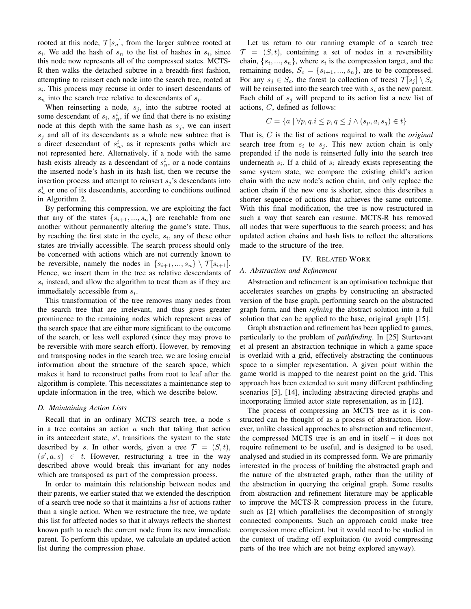rooted at this node,  $\mathcal{T}[s_n]$ , from the larger subtree rooted at  $s_i$ . We add the hash of  $s_n$  to the list of hashes in  $s_i$ , since this node now represents all of the compressed states. MCTS-R then walks the detached subtree in a breadth-first fashion, attempting to reinsert each node into the search tree, rooted at  $s_i$ . This process may recurse in order to insert descendants of  $s_n$  into the search tree relative to descendants of  $s_i$ .

When reinserting a node,  $s_i$ , into the subtree rooted at some descendant of  $s_i$ ,  $s_n^i$ , if we find that there is no existing node at this depth with the same hash as  $s_j$ , we can insert  $s_j$  and all of its descendants as a whole new subtree that is a direct descendant of  $s_n^i$ , as it represents paths which are not represented here. Alternatively, if a node with the same hash exists already as a descendant of  $s_n^i$ , or a node contains the inserted node's hash in its hash list, then we recurse the insertion process and attempt to reinsert  $s_j$ 's descendants into  $s_n^i$  or one of its descendants, according to conditions outlined in Algorithm 2.

By performing this compression, we are exploiting the fact that any of the states  $\{s_{i+1},...,s_n\}$  are reachable from one another without permanently altering the game's state. Thus, by reaching the first state in the cycle,  $s_i$ , any of these other states are trivially accessible. The search process should only be concerned with actions which are not currently known to be reversible, namely the nodes in  $\{s_{i+1},...,s_n\} \setminus \mathcal{T}[s_{i+1}].$ Hence, we insert them in the tree as relative descendants of  $s_i$  instead, and allow the algorithm to treat them as if they are immediately accessible from  $s_i$ .

This transformation of the tree removes many nodes from the search tree that are irrelevant, and thus gives greater prominence to the remaining nodes which represent areas of the search space that are either more significant to the outcome of the search, or less well explored (since they may prove to be reversible with more search effort). However, by removing and transposing nodes in the search tree, we are losing crucial information about the structure of the search space, which makes it hard to reconstruct paths from root to leaf after the algorithm is complete. This necessitates a maintenance step to update information in the tree, which we describe below.

#### *D. Maintaining Action Lists*

Recall that in an ordinary MCTS search tree, a node s in a tree contains an action  $a$  such that taking that action in its antecedent state,  $s'$ , transitions the system to the state described by s. In other words, given a tree  $\mathcal{T} = (S, t)$ ,  $(s', a, s) \in t$ . However, restructuring a tree in the way described above would break this invariant for any nodes which are transposed as part of the compression process.

In order to maintain this relationship between nodes and their parents, we earlier stated that we extended the description of a search tree node so that it maintains a *list* of actions rather than a single action. When we restructure the tree, we update this list for affected nodes so that it always reflects the shortest known path to reach the current node from its new immediate parent. To perform this update, we calculate an updated action list during the compression phase.

Let us return to our running example of a search tree  $\mathcal{T} = (S, t)$ , containing a set of nodes in a reversibility chain,  $\{s_i, ..., s_n\}$ , where  $s_i$  is the compression target, and the remaining nodes,  $S_c = \{s_{i+1}, ..., s_n\}$ , are to be compressed. For any  $s_i \in S_c$ , the forest (a collection of trees)  $\mathcal{T}[s_i] \setminus S_c$ will be reinserted into the search tree with  $s_i$  as the new parent. Each child of  $s_i$  will prepend to its action list a new list of actions, C, defined as follows:

$$
C = \{a \mid \forall p, q \in I \le p, q \le j \land (s_p, a, s_q) \in t\}
$$

That is, C is the list of actions required to walk the *original* search tree from  $s_i$  to  $s_j$ . This new action chain is only prepended if the node is reinserted fully into the search tree underneath  $s_i$ . If a child of  $s_i$  already exists representing the same system state, we compare the existing child's action chain with the new node's action chain, and only replace the action chain if the new one is shorter, since this describes a shorter sequence of actions that achieves the same outcome. With this final modification, the tree is now restructured in such a way that search can resume. MCTS-R has removed all nodes that were superfluous to the search process; and has updated action chains and hash lists to reflect the alterations made to the structure of the tree.

## IV. RELATED WORK

## *A. Abstraction and Refinement*

Abstraction and refinement is an optimisation technique that accelerates searches on graphs by constructing an abstracted version of the base graph, performing search on the abstracted graph form, and then *refining* the abstract solution into a full solution that can be applied to the base, original graph [15].

Graph abstraction and refinement has been applied to games, particularly to the problem of *pathfinding*. In [25] Sturtevant et al present an abstraction technique in which a game space is overlaid with a grid, effectively abstracting the continuous space to a simpler representation. A given point within the game world is mapped to the nearest point on the grid. This approach has been extended to suit many different pathfinding scenarios [5], [14], including abstracting directed graphs and incorporating limited actor state representation, as in [12].

The process of compressing an MCTS tree as it is constructed can be thought of as a process of abstraction. However, unlike classical approaches to abstraction and refinement, the compressed MCTS tree is an end in itself – it does not require refinement to be useful, and is designed to be used, analysed and studied in its compressed form. We are primarily interested in the process of building the abstracted graph and the nature of the abstracted graph, rather than the utility of the abstraction in querying the original graph. Some results from abstraction and refinement literature may be applicable to improve the MCTS-R compression process in the future, such as [2] which parallelises the decomposition of strongly connected components. Such an approach could make tree compression more efficient, but it would need to be studied in the context of trading off exploitation (to avoid compressing parts of the tree which are not being explored anyway).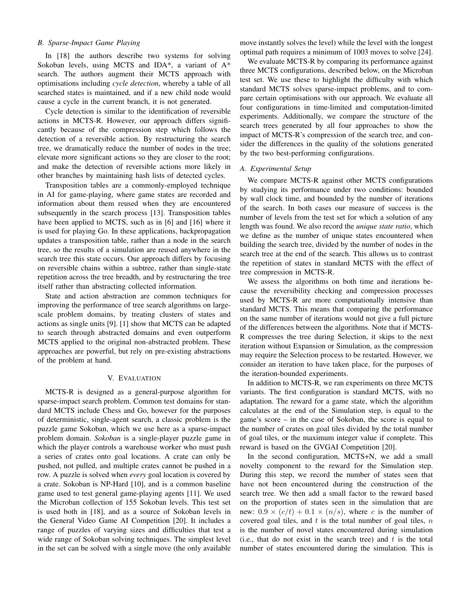# *B. Sparse-Impact Game Playing*

In [18] the authors describe two systems for solving Sokoban levels, using MCTS and IDA\*, a variant of A\* search. The authors augment their MCTS approach with optimisations including *cycle detection*, whereby a table of all searched states is maintained, and if a new child node would cause a cycle in the current branch, it is not generated.

Cycle detection is similar to the identification of reversible actions in MCTS-R. However, our approach differs significantly because of the compression step which follows the detection of a reversible action. By restructuring the search tree, we dramatically reduce the number of nodes in the tree; elevate more significant actions so they are closer to the root; and make the detection of reversible actions more likely in other branches by maintaining hash lists of detected cycles.

Transposition tables are a commonly-employed technique in AI for game-playing, where game states are recorded and information about them reused when they are encountered subsequently in the search process [13]. Transposition tables have been applied to MCTS, such as in [6] and [16] where it is used for playing Go. In these applications, backpropagation updates a transposition table, rather than a node in the search tree, so the results of a simulation are reused anywhere in the search tree this state occurs. Our approach differs by focusing on reversible chains within a subtree, rather than single-state repetition across the tree breadth, and by restructuring the tree itself rather than abstracting collected information.

State and action abstraction are common techniques for improving the performance of tree search algorithms on largescale problem domains, by treating clusters of states and actions as single units [9]. [1] show that MCTS can be adapted to search through abstracted domains and even outperform MCTS applied to the original non-abstracted problem. These approaches are powerful, but rely on pre-existing abstractions of the problem at hand.

#### V. EVALUATION

MCTS-R is designed as a general-purpose algorithm for sparse-impact search problem. Common test domains for standard MCTS include Chess and Go, however for the purposes of deterministic, single-agent search, a classic problem is the puzzle game Sokoban, which we use here as a sparse-impact problem domain. *Sokoban* is a single-player puzzle game in which the player controls a warehouse worker who must push a series of crates onto goal locations. A crate can only be pushed, not pulled, and multiple crates cannot be pushed in a row. A puzzle is solved when *every* goal location is covered by a crate. Sokoban is NP-Hard [10], and is a common baseline game used to test general game-playing agents [11]. We used the Microban collection of 155 Sokoban levels. This test set is used both in [18], and as a source of Sokoban levels in the General Video Game AI Competition [20]. It includes a range of puzzles of varying sizes and difficulties that test a wide range of Sokoban solving techniques. The simplest level in the set can be solved with a single move (the only available move instantly solves the level) while the level with the longest optimal path requires a minimum of 1003 moves to solve [24].

We evaluate MCTS-R by comparing its performance against three MCTS configurations, described below, on the Microban test set. We use these to highlight the difficulty with which standard MCTS solves sparse-impact problems, and to compare certain optimisations with our approach. We evaluate all four configurations in time-limited and computation-limited experiments. Additionally, we compare the structure of the search trees generated by all four approaches to show the impact of MCTS-R's compression of the search tree, and consider the differences in the quality of the solutions generated by the two best-performing configurations.

## *A. Experimental Setup*

We compare MCTS-R against other MCTS configurations by studying its performance under two conditions: bounded by wall clock time, and bounded by the number of iterations of the search. In both cases our measure of success is the number of levels from the test set for which a solution of any length was found. We also record the *unique state ratio*, which we define as the number of unique states encountered when building the search tree, divided by the number of nodes in the search tree at the end of the search. This allows us to contrast the repetition of states in standard MCTS with the effect of tree compression in MCTS-R.

We assess the algorithms on both time and iterations because the reversibility checking and compression processes used by MCTS-R are more computationally intensive than standard MCTS. This means that comparing the performance on the same number of iterations would not give a full picture of the differences between the algorithms. Note that if MCTS-R compresses the tree during Selection, it skips to the next iteration without Expansion or Simulation, as the compression may require the Selection process to be restarted. However, we consider an iteration to have taken place, for the purposes of the iteration-bounded experiments.

In addition to MCTS-R, we ran experiments on three MCTS variants. The first configuration is standard MCTS, with no adaptation. The reward for a game state, which the algorithm calculates at the end of the Simulation step, is equal to the game's score – in the case of Sokoban, the score is equal to the number of crates on goal tiles divided by the total number of goal tiles, or the maximum integer value if complete. This reward is based on the GVGAI Competition [20].

In the second configuration, MCTS+N, we add a small novelty component to the reward for the Simulation step. During this step, we record the number of states seen that have not been encountered during the construction of the search tree. We then add a small factor to the reward based on the proportion of states seen in the simulation that are new:  $0.9 \times (c/t) + 0.1 \times (n/s)$ , where c is the number of covered goal tiles, and  $t$  is the total number of goal tiles,  $n$ is the number of novel states encountered during simulation (i.e., that do not exist in the search tree) and  $t$  is the total number of states encountered during the simulation. This is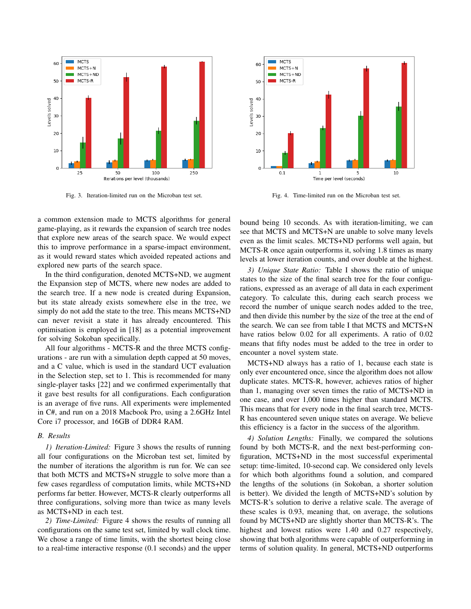

Fig. 3. Iteration-limited run on the Microban test set.

**MCTS** 60  $MCTS + N$ MCTS+ND MCTS-R 50 40 Levels solved 30 20 10  $\epsilon$  $0.1$  $10$  $\mathbf{1}$ Time per level (seconds)

Fig. 4. Time-limited run on the Microban test set.

a common extension made to MCTS algorithms for general game-playing, as it rewards the expansion of search tree nodes that explore new areas of the search space. We would expect this to improve performance in a sparse-impact environment, as it would reward states which avoided repeated actions and explored new parts of the search space.

In the third configuration, denoted MCTS+ND, we augment the Expansion step of MCTS, where new nodes are added to the search tree. If a new node is created during Expansion, but its state already exists somewhere else in the tree, we simply do not add the state to the tree. This means MCTS+ND can never revisit a state it has already encountered. This optimisation is employed in [18] as a potential improvement for solving Sokoban specifically.

All four algorithms - MCTS-R and the three MCTS configurations - are run with a simulation depth capped at 50 moves, and a C value, which is used in the standard UCT evaluation in the Selection step, set to 1. This is recommended for many single-player tasks [22] and we confirmed experimentally that it gave best results for all configurations. Each configuration is an average of five runs. All experiments were implemented in C#, and run on a 2018 Macbook Pro, using a 2.6GHz Intel Core i7 processor, and 16GB of DDR4 RAM.

#### *B. Results*

*1) Iteration-Limited:* Figure 3 shows the results of running all four configurations on the Microban test set, limited by the number of iterations the algorithm is run for. We can see that both MCTS and MCTS+N struggle to solve more than a few cases regardless of computation limits, while MCTS+ND performs far better. However, MCTS-R clearly outperforms all three configurations, solving more than twice as many levels as MCTS+ND in each test.

*2) Time-Limited:* Figure 4 shows the results of running all configurations on the same test set, limited by wall clock time. We chose a range of time limits, with the shortest being close to a real-time interactive response (0.1 seconds) and the upper bound being 10 seconds. As with iteration-limiting, we can see that MCTS and MCTS+N are unable to solve many levels even as the limit scales. MCTS+ND performs well again, but MCTS-R once again outperforms it, solving 1.8 times as many levels at lower iteration counts, and over double at the highest.

*3) Unique State Ratio:* Table I shows the ratio of unique states to the size of the final search tree for the four configurations, expressed as an average of all data in each experiment category. To calculate this, during each search process we record the number of unique search nodes added to the tree, and then divide this number by the size of the tree at the end of the search. We can see from table I that MCTS and MCTS+N have ratios below 0.02 for all experiments. A ratio of 0.02 means that fifty nodes must be added to the tree in order to encounter a novel system state.

MCTS+ND always has a ratio of 1, because each state is only ever encountered once, since the algorithm does not allow duplicate states. MCTS-R, however, achieves ratios of higher than 1, managing over seven times the ratio of MCTS+ND in one case, and over 1,000 times higher than standard MCTS. This means that for every node in the final search tree, MCTS-R has encountered seven unique states on average. We believe this efficiency is a factor in the success of the algorithm.

*4) Solution Lengths:* Finally, we compared the solutions found by both MCTS-R, and the next best-performing configuration, MCTS+ND in the most successful experimental setup: time-limited, 10-second cap. We considered only levels for which both algorithms found a solution, and compared the lengths of the solutions (in Sokoban, a shorter solution is better). We divided the length of MCTS+ND's solution by MCTS-R's solution to derive a relative scale. The average of these scales is 0.93, meaning that, on average, the solutions found by MCTS+ND are slightly shorter than MCTS-R's. The highest and lowest ratios were 1.40 and 0.27 respectively, showing that both algorithms were capable of outperforming in terms of solution quality. In general, MCTS+ND outperforms